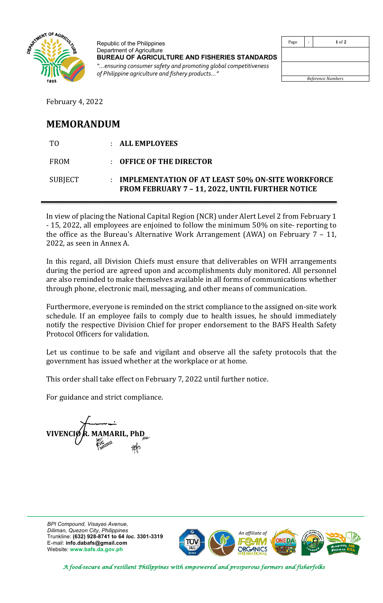

Republic of the Philippines Department of Agriculture **BUREAU OF AGRICULTURE AND FISHERIES STANDARDS** *"…ensuring consumer safety and promoting global competitiveness of Philippine agriculture and fishery products…"*

| Page              | ÷ | $1$ of $2$ |  |  |
|-------------------|---|------------|--|--|
|                   |   |            |  |  |
|                   |   |            |  |  |
|                   |   |            |  |  |
|                   |   |            |  |  |
| Reference Numbers |   |            |  |  |

February 4, 2022

## **MEMORANDUM**

| TO.         | : ALL EMPLOYEES                                                                                             |
|-------------|-------------------------------------------------------------------------------------------------------------|
| <b>FROM</b> | $\pm$ OFFICE OF THE DIRECTOR                                                                                |
| SUBJECT     | <b>IMPLEMENTATION OF AT LEAST 50% ON-SITE WORKFORCE</b><br>FROM FEBRUARY 7 - 11, 2022, UNTIL FURTHER NOTICE |

In view of placing the National Capital Region (NCR) under Alert Level 2 from February 1 - 15, 2022, all employees are enjoined to follow the minimum 50% on site- reporting to the office as the Bureau's Alternative Work Arrangement (AWA) on February  $7 - 11$ , 2022, as seen in Annex A.

In this regard, all Division Chiefs must ensure that deliverables on WFH arrangements during the period are agreed upon and accomplishments duly monitored. All personnel are also reminded to make themselves available in all forms of communications whether through phone, electronic mail, messaging, and other means of communication.

Furthermore, everyone is reminded on the strict compliance to the assigned on-site work schedule. If an employee fails to comply due to health issues, he should immediately notify the respective Division Chief for proper endorsement to the BAFS Health Safety Protocol Officers for validation.

Let us continue to be safe and vigilant and observe all the safety protocols that the government has issued whether at the workplace or at home.

This order shall take effect on February 7, 2022 until further notice.

For guidance and strict compliance.

**0402022 VIVENCIØ R. MAMARIL, PhD** 

*BPI Compound, Visayas Avenue, Diliman, Quezon City, Philippines* Trunkline: **(632) 928-8741 to 64** *loc.* **3301-3319** E-mail: **info.dabafs@gmail.com** Website: **www.bafs.da.gov.ph**



*A food-secure and resilient Philippines with empowered and prosperous farmers and fisherfolks*